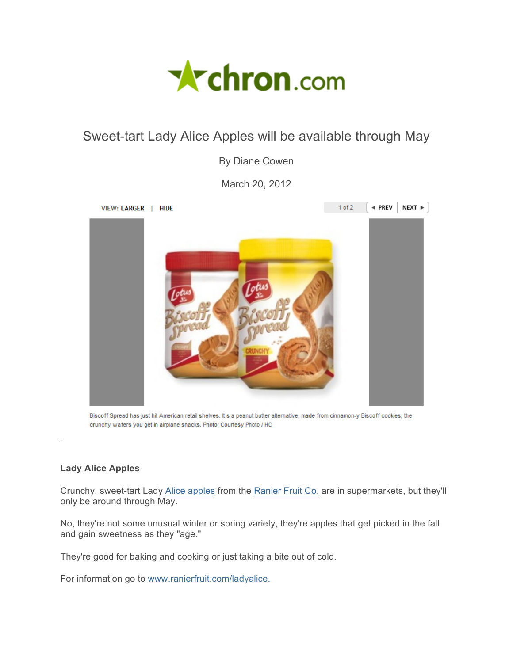

## Sweet-tart Lady Alice Apples will be available through May

By Diane Cowen

March 20, 2012



Biscoff Spread has just hit American retail shelves. It s a peanut butter alternative, made from cinnamon-y Biscoff cookies, the crunchy wafers you get in airplane snacks. Photo: Courtesy Photo / HC

## **Lady Alice Apples**

Crunchy, sweet-tart Lady Alice apples from the Ranier Fruit Co. are in supermarkets, but they'll only be around through May.

No, they're not some unusual winter or spring variety, they're apples that get picked in the fall and gain sweetness as they "age."

They're good for baking and cooking or just taking a bite out of cold.

For information go to www.ranierfruit.com/ladyalice.